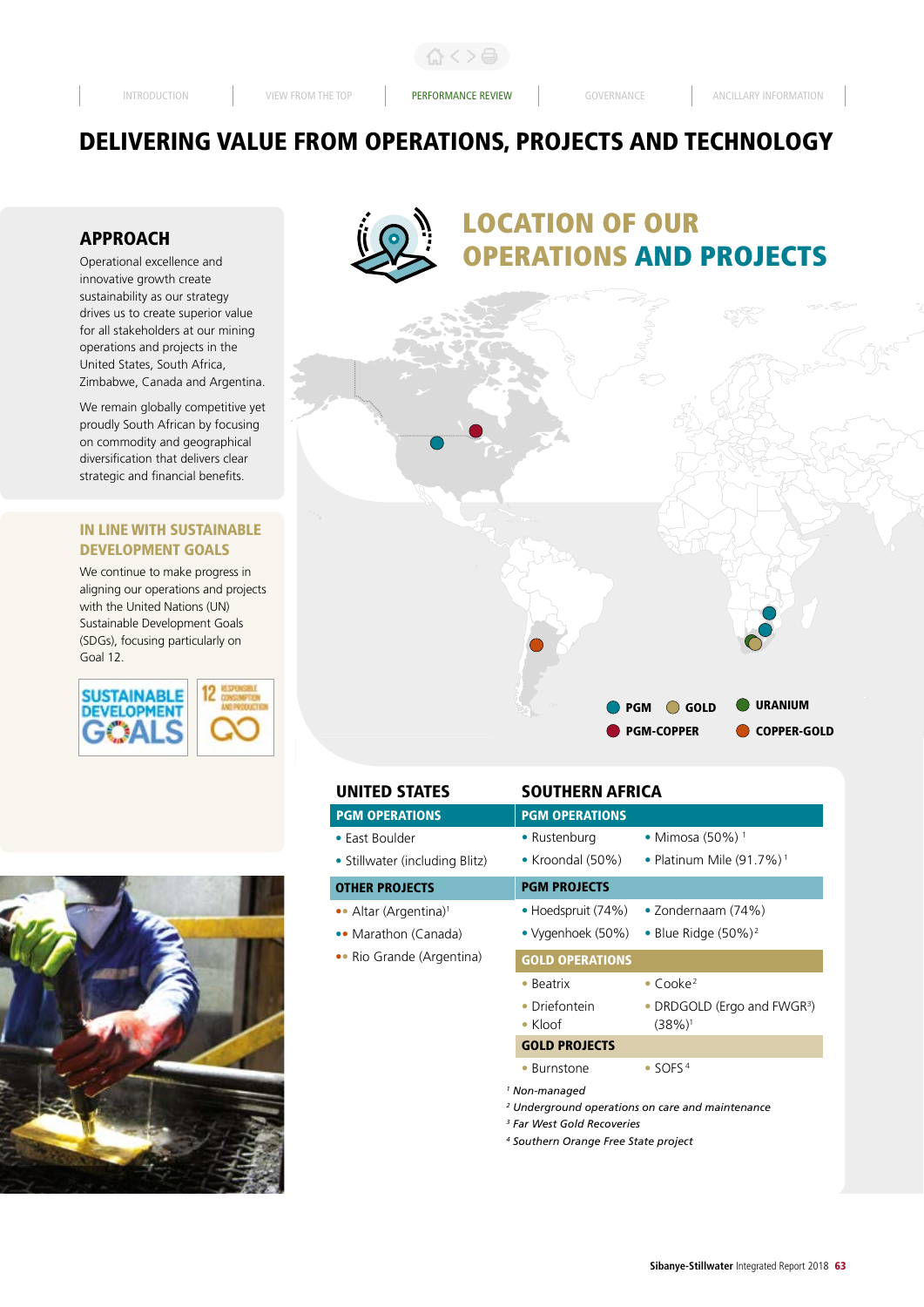合く>骨

# DELIVERING VALUE FROM OPERATIONS, PROJECTS AND TECHNOLOGY

# APPROACH

Operational excellence and innovative growth create sustainability as our strategy drives us to create superior value for all stakeholders at our mining operations and projects in the United States, South Africa, Zimbabwe, Canada and Argentina.

We remain globally competitive yet proudly South African by focusing on commodity and geographical diversification that delivers clear strategic and financial benefits.

# IN LINE WITH SUSTAINABLE DEVELOPMENT GOALS

We continue to make progress in aligning our operations and projects with the United Nations (UN) Sustainable Development Goals (SDGs), focusing particularly on Goal 12.







# LOCATION OF OUR **ERATIONS AND PROJECTS**



| <b>UNITED STATES</b>              | SOUTHERN AFRICA                                                   |                                                                 |  |  |  |  |
|-----------------------------------|-------------------------------------------------------------------|-----------------------------------------------------------------|--|--|--|--|
| <b>PGM OPERATIONS</b>             | <b>PGM OPERATIONS</b>                                             |                                                                 |  |  |  |  |
| • Fast Boulder                    | • Rustenburg                                                      | • Mimosa (50%) <sup>1</sup>                                     |  |  |  |  |
| • Stillwater (including Blitz)    | • Kroondal $(50\%)$                                               | • Platinum Mile $(91.7\%)$ <sup>1</sup>                         |  |  |  |  |
| <b>OTHER PROJECTS</b>             | <b>PGM PROJECTS</b>                                               |                                                                 |  |  |  |  |
| •• Altar (Argentina) <sup>1</sup> | • Hoedspruit $(74%)$                                              | • Zondernaam (74%)                                              |  |  |  |  |
| •• Marathon (Canada)              | • Vygenhoek (50%)                                                 | • Blue Ridge $(50\%)^2$                                         |  |  |  |  |
| • Rio Grande (Argentina)          | <b>GOLD OPERATIONS</b>                                            |                                                                 |  |  |  |  |
|                                   | $\bullet$ Beatrix                                                 | $\bullet$ Cooke <sup>2</sup>                                    |  |  |  |  |
|                                   | Driefontein<br>$\bullet$ Kloof                                    | • DRDGOLD (Ergo and FWGR <sup>3</sup> )<br>$(38%)$ <sup>1</sup> |  |  |  |  |
|                                   | <b>GOLD PROJECTS</b>                                              |                                                                 |  |  |  |  |
|                                   | • Burnstone                                                       | $\bullet$ SOFS <sup>4</sup>                                     |  |  |  |  |
|                                   | <sup>1</sup> Non-managed<br><sup>3</sup> Far West Gold Recoveries | <sup>2</sup> Underground operations on care and maintenance     |  |  |  |  |

*4 Southern Orange Free State project*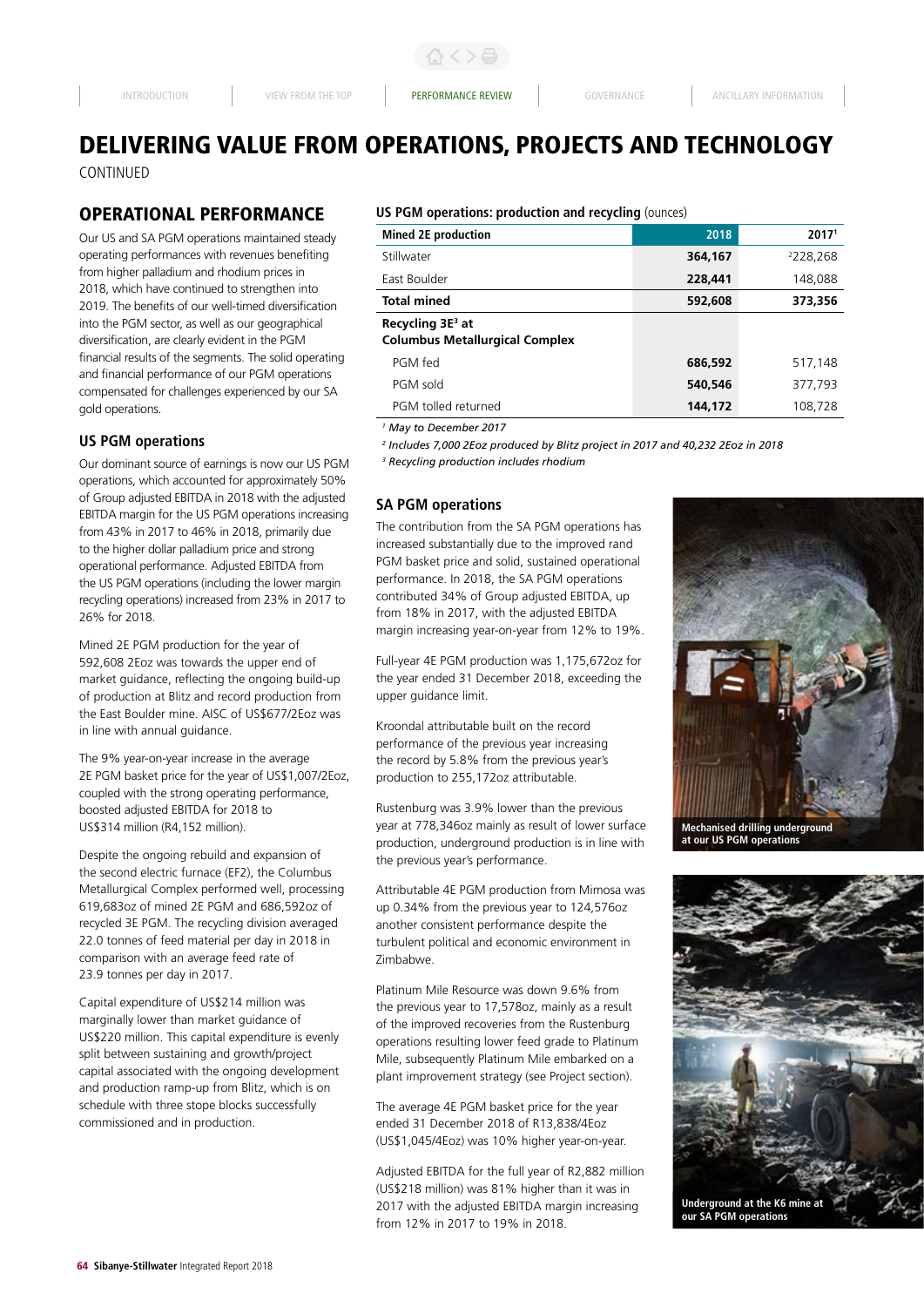# DELIVERING VALUE FROM OPERATIONS, PROJECTS AND TECHNOLOGY CONTINUED

# OPERATIONAL PERFORMANCE

Our US and SA PGM operations maintained steady operating performances with revenues benefiting from higher palladium and rhodium prices in 2018, which have continued to strengthen into 2019. The benefits of our well-timed diversification into the PGM sector, as well as our geographical diversification, are clearly evident in the PGM financial results of the segments. The solid operating and financial performance of our PGM operations compensated for challenges experienced by our SA gold operations.

# **US PGM operations**

Our dominant source of earnings is now our US PGM operations, which accounted for approximately 50% of Group adjusted EBITDA in 2018 with the adjusted EBITDA margin for the US PGM operations increasing from 43% in 2017 to 46% in 2018, primarily due to the higher dollar palladium price and strong operational performance. Adjusted EBITDA from the US PGM operations (including the lower margin recycling operations) increased from 23% in 2017 to 26% for 2018.

Mined 2E PGM production for the year of 592,608 2Eoz was towards the upper end of market guidance, reflecting the ongoing build-up of production at Blitz and record production from the East Boulder mine. AISC of US\$677/2Eoz was in line with annual guidance.

The 9% year-on-year increase in the average 2E PGM basket price for the year of US\$1,007/2Eoz, coupled with the strong operating performance, boosted adjusted EBITDA for 2018 to US\$314 million (R4,152 million).

Despite the ongoing rebuild and expansion of the second electric furnace (EF2), the Columbus Metallurgical Complex performed well, processing 619,683oz of mined 2E PGM and 686,592oz of recycled 3E PGM. The recycling division averaged 22.0 tonnes of feed material per day in 2018 in comparison with an average feed rate of 23.9 tonnes per day in 2017.

Capital expenditure of US\$214 million was marginally lower than market guidance of US\$220 million. This capital expenditure is evenly split between sustaining and growth/project capital associated with the ongoing development and production ramp-up from Blitz, which is on schedule with three stope blocks successfully commissioned and in production.

# **US PGM operations: production and recycling** (ounces)

| <b>Mined 2E production</b>                                            | 2018    | 2017 <sup>1</sup> |
|-----------------------------------------------------------------------|---------|-------------------|
| Stillwater                                                            | 364,167 | 2228,268          |
| East Boulder                                                          | 228,441 | 148,088           |
| Total mined                                                           | 592,608 | 373,356           |
| Recycling 3E <sup>3</sup> at<br><b>Columbus Metallurgical Complex</b> |         |                   |
| PGM fed                                                               | 686,592 | 517,148           |
| PGM sold                                                              | 540,546 | 377,793           |
| PGM tolled returned                                                   | 144,172 | 108,728           |

*1 May to December 2017*

*2 Includes 7,000 2Eoz produced by Blitz project in 2017 and 40,232 2Eoz in 2018 3 Recycling production includes rhodium*

# **SA PGM operations**

The contribution from the SA PGM operations has increased substantially due to the improved rand PGM basket price and solid, sustained operational performance. In 2018, the SA PGM operations contributed 34% of Group adjusted EBITDA, up from 18% in 2017, with the adjusted EBITDA margin increasing year-on-year from 12% to 19%.

Full-year 4E PGM production was 1,175,672oz for the year ended 31 December 2018, exceeding the upper guidance limit.

Kroondal attributable built on the record performance of the previous year increasing the record by 5.8% from the previous year's production to 255,172oz attributable.

Rustenburg was 3.9% lower than the previous year at 778,346oz mainly as result of lower surface production, underground production is in line with the previous year's performance.

Attributable 4E PGM production from Mimosa was up 0.34% from the previous year to 124,576oz another consistent performance despite the turbulent political and economic environment in Zimbabwe.

Platinum Mile Resource was down 9.6% from the previous year to 17,578oz, mainly as a result of the improved recoveries from the Rustenburg operations resulting lower feed grade to Platinum Mile, subsequently Platinum Mile embarked on a plant improvement strategy (see Project section).

The average 4E PGM basket price for the year ended 31 December 2018 of R13,838/4Eoz (US\$1,045/4Eoz) was 10% higher year-on-year.

Adjusted EBITDA for the full year of R2,882 million (US\$218 million) was 81% higher than it was in 2017 with the adjusted EBITDA margin increasing from 12% in 2017 to 19% in 2018.



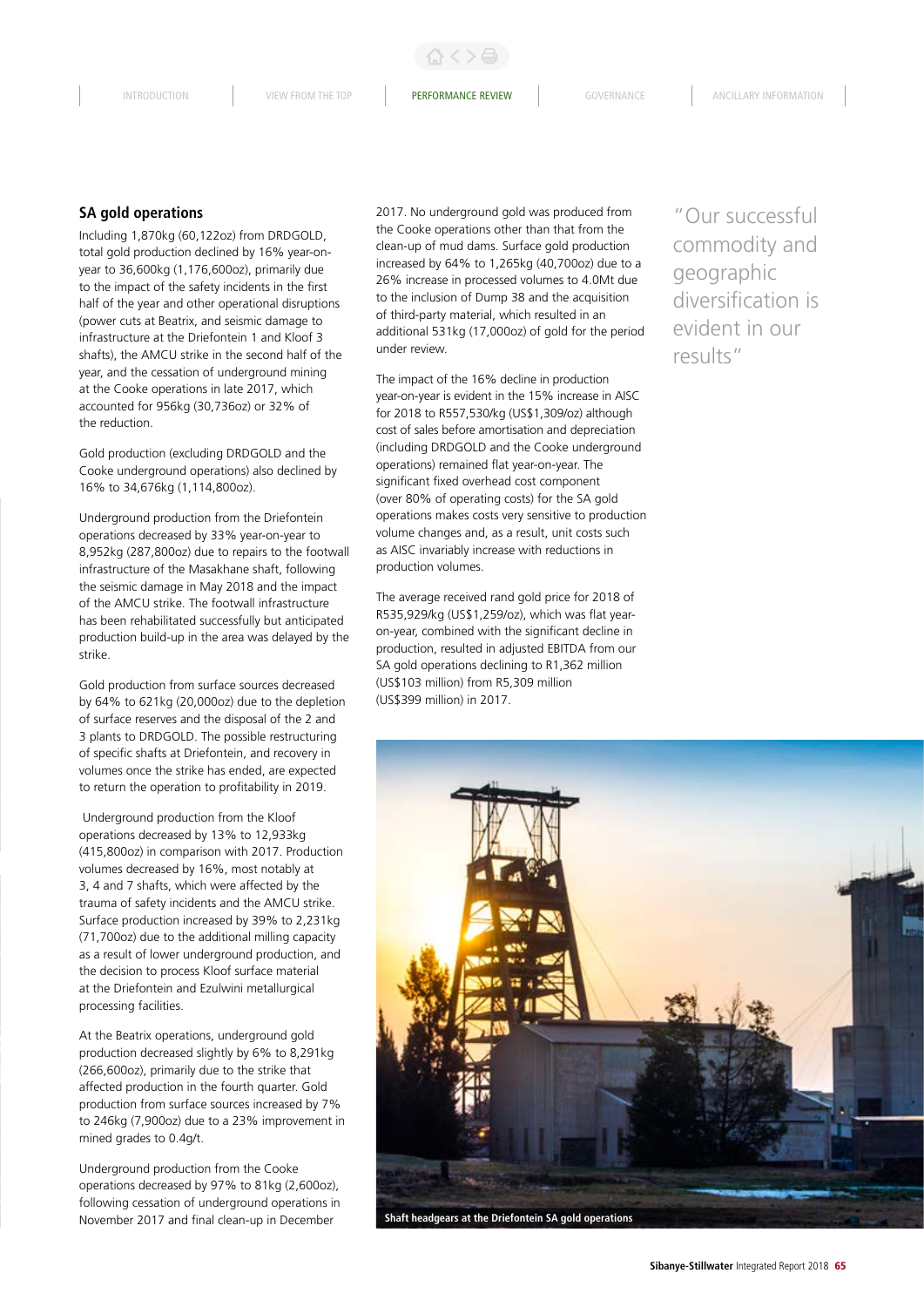# **SA gold operations**

Including 1,870kg (60,122oz) from DRDGOLD, total gold production declined by 16% year-onyear to 36,600kg (1,176,600oz), primarily due to the impact of the safety incidents in the first half of the year and other operational disruptions (power cuts at Beatrix, and seismic damage to infrastructure at the Driefontein 1 and Kloof 3 shafts), the AMCU strike in the second half of the year, and the cessation of underground mining at the Cooke operations in late 2017, which accounted for 956kg (30,736oz) or 32% of the reduction.

Gold production (excluding DRDGOLD and the Cooke underground operations) also declined by 16% to 34,676kg (1,114,800oz).

Underground production from the Driefontein operations decreased by 33% year-on-year to 8,952kg (287,800oz) due to repairs to the footwall infrastructure of the Masakhane shaft, following the seismic damage in May 2018 and the impact of the AMCU strike. The footwall infrastructure has been rehabilitated successfully but anticipated production build-up in the area was delayed by the strike.

Gold production from surface sources decreased by 64% to 621kg (20,000oz) due to the depletion of surface reserves and the disposal of the 2 and 3 plants to DRDGOLD. The possible restructuring of specific shafts at Driefontein, and recovery in volumes once the strike has ended, are expected to return the operation to profitability in 2019.

 Underground production from the Kloof operations decreased by 13% to 12,933kg (415,800oz) in comparison with 2017. Production volumes decreased by 16%, most notably at 3, 4 and 7 shafts, which were affected by the trauma of safety incidents and the AMCU strike. Surface production increased by 39% to 2,231kg (71,700oz) due to the additional milling capacity as a result of lower underground production, and the decision to process Kloof surface material at the Driefontein and Ezulwini metallurgical processing facilities.

At the Beatrix operations, underground gold production decreased slightly by 6% to 8,291kg (266,600oz), primarily due to the strike that affected production in the fourth quarter. Gold production from surface sources increased by 7% to 246kg (7,900oz) due to a 23% improvement in mined grades to 0.4g/t.

Underground production from the Cooke operations decreased by 97% to 81kg (2,600oz), following cessation of underground operations in November 2017 and final clean-up in December

2017. No underground gold was produced from the Cooke operations other than that from the clean-up of mud dams. Surface gold production increased by 64% to 1,265kg (40,700oz) due to a 26% increase in processed volumes to 4.0Mt due to the inclusion of Dump 38 and the acquisition of third-party material, which resulted in an additional 531kg (17,000oz) of gold for the period under review.

The impact of the 16% decline in production year-on-year is evident in the 15% increase in AISC for 2018 to R557,530/kg (US\$1,309/oz) although cost of sales before amortisation and depreciation (including DRDGOLD and the Cooke underground operations) remained flat year-on-year. The significant fixed overhead cost component (over 80% of operating costs) for the SA gold operations makes costs very sensitive to production volume changes and, as a result, unit costs such as AISC invariably increase with reductions in production volumes.

The average received rand gold price for 2018 of R535,929/kg (US\$1,259/oz), which was flat yearon-year, combined with the significant decline in production, resulted in adjusted EBITDA from our SA gold operations declining to R1,362 million (US\$103 million) from R5,309 million (US\$399 million) in 2017.

"Our successful commodity and geographic diversification is evident in our results"

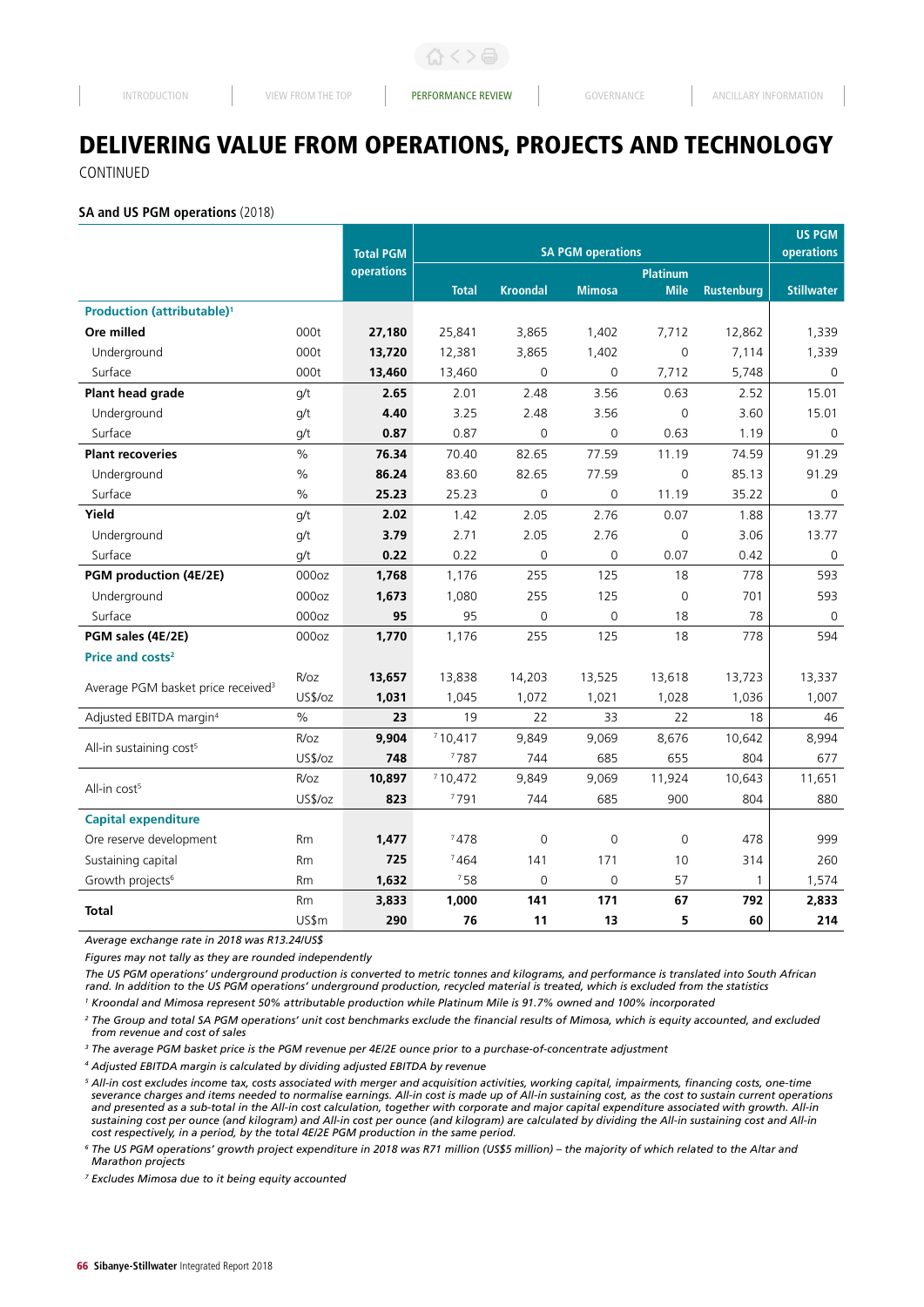# DELIVERING VALUE FROM OPERATIONS, PROJECTS AND TECHNOLOGY

CONTINUED

#### **SA and US PGM operations** (2018)

|                                                |               |                  |                          |                 |               |                 |                   | <b>US PGM</b>     |
|------------------------------------------------|---------------|------------------|--------------------------|-----------------|---------------|-----------------|-------------------|-------------------|
|                                                |               | <b>Total PGM</b> | <b>SA PGM operations</b> |                 |               |                 |                   | operations        |
|                                                |               | operations       |                          |                 |               | <b>Platinum</b> |                   |                   |
|                                                |               |                  | <b>Total</b>             | <b>Kroondal</b> | <b>Mimosa</b> | <b>Mile</b>     | <b>Rustenburg</b> | <b>Stillwater</b> |
| <b>Production (attributable)<sup>1</sup></b>   |               |                  |                          |                 |               |                 |                   |                   |
| Ore milled                                     | 000t          | 27,180           | 25,841                   | 3,865           | 1,402         | 7,712           | 12,862            | 1,339             |
| Underground                                    | 000t          | 13,720           | 12,381                   | 3,865           | 1,402         | $\overline{0}$  | 7,114             | 1,339             |
| Surface                                        | 000t          | 13,460           | 13,460                   | $\overline{0}$  | 0             | 7,712           | 5,748             | $\mathbf 0$       |
| Plant head grade                               | q/t           | 2.65             | 2.01                     | 2.48            | 3.56          | 0.63            | 2.52              | 15.01             |
| Underground                                    | g/t           | 4.40             | 3.25                     | 2.48            | 3.56          | $\mathsf 0$     | 3.60              | 15.01             |
| Surface                                        | q/t           | 0.87             | 0.87                     | $\mathbf 0$     | 0             | 0.63            | 1.19              | $\mathbf 0$       |
| <b>Plant recoveries</b>                        | $\%$          | 76.34            | 70.40                    | 82.65           | 77.59         | 11.19           | 74.59             | 91.29             |
| Underground                                    | $\frac{0}{0}$ | 86.24            | 83.60                    | 82.65           | 77.59         | $\overline{0}$  | 85.13             | 91.29             |
| Surface                                        | $\%$          | 25.23            | 25.23                    | $\mathbf 0$     | 0             | 11.19           | 35.22             | $\mathbf 0$       |
| Yield                                          | g/t           | 2.02             | 1.42                     | 2.05            | 2.76          | 0.07            | 1.88              | 13.77             |
| Underground                                    | q/t           | 3.79             | 2.71                     | 2.05            | 2.76          | $\mathbf 0$     | 3.06              | 13.77             |
| Surface                                        | q/t           | 0.22             | 0.22                     | $\overline{0}$  | $\mathbf 0$   | 0.07            | 0.42              | 0                 |
| PGM production (4E/2E)                         | 000oz         | 1,768            | 1,176                    | 255             | 125           | 18              | 778               | 593               |
| Underground                                    | 000oz         | 1,673            | 1,080                    | 255             | 125           | $\Omega$        | 701               | 593               |
| Surface                                        | 000oz         | 95               | 95                       | $\overline{0}$  | 0             | 18              | 78                | $\mathbf 0$       |
| PGM sales (4E/2E)                              | 000oz         | 1,770            | 1,176                    | 255             | 125           | 18              | 778               | 594               |
| Price and costs <sup>2</sup>                   |               |                  |                          |                 |               |                 |                   |                   |
|                                                | R/oz          | 13,657           | 13,838                   | 14,203          | 13,525        | 13,618          | 13,723            | 13,337            |
| Average PGM basket price received <sup>3</sup> | US\$/oz       | 1,031            | 1,045                    | 1,072           | 1,021         | 1,028           | 1,036             | 1,007             |
| Adjusted EBITDA margin <sup>4</sup>            | $\frac{0}{0}$ | 23               | 19                       | 22              | 33            | 22              | 18                | 46                |
|                                                | R/oz          | 9,904            | 710,417                  | 9,849           | 9,069         | 8,676           | 10,642            | 8,994             |
| All-in sustaining cost <sup>5</sup>            | US\$/oz       | 748              | 7787                     | 744             | 685           | 655             | 804               | 677               |
|                                                | R/oz          | 10,897           | 710,472                  | 9,849           | 9,069         | 11,924          | 10,643            | 11,651            |
| All-in cost <sup>5</sup>                       | US\$/oz       | 823              | 7791                     | 744             | 685           | 900             | 804               | 880               |
| <b>Capital expenditure</b>                     |               |                  |                          |                 |               |                 |                   |                   |
| Ore reserve development                        | <b>Rm</b>     | 1,477            | 7478                     | $\mathbf 0$     | $\mathbf 0$   | $\mathbf 0$     | 478               | 999               |
| Sustaining capital                             | Rm            | 725              | 7464                     | 141             | 171           | 10              | 314               | 260               |
| Growth projects <sup>6</sup>                   | <b>Rm</b>     | 1,632            | 758                      | $\overline{0}$  | $\mathbf 0$   | 57              | 1                 | 1,574             |
|                                                | Rm            | 3,833            | 1,000                    | 141             | 171           | 67              | 792               | 2,833             |
| <b>Total</b>                                   | US\$m         | 290              | 76                       | 11              | 13            | 5               | 60                | 214               |

*Average exchange rate in 2018 was R13.24/US\$*

*Figures may not tally as they are rounded independently*

*The US PGM operations' underground production is converted to metric tonnes and kilograms, and performance is translated into South African rand. In addition to the US PGM operations' underground production, recycled material is treated, which is excluded from the statistics* 

*1 Kroondal and Mimosa represent 50% attributable production while Platinum Mile is 91.7% owned and 100% incorporated*

*<sup>2</sup> The Group and total SA PGM operations' unit cost benchmarks exclude the financial results of Mimosa, which is equity accounted, and excluded from revenue and cost of sales*

<sup>3</sup> The average PGM basket price is the PGM revenue per 4E/2E ounce prior to a purchase-of-concentrate adjustment

*4 Adjusted EBITDA margin is calculated by dividing adjusted EBITDA by revenue*

*<sup>5</sup> All-in cost excludes income tax, costs associated with merger and acquisition activities, working capital, impairments, financing costs, one-time severance charges and items needed to normalise earnings. All-in cost is made up of All-in sustaining cost, as the cost to sustain current operations and presented as a sub-total in the All-in cost calculation, together with corporate and major capital expenditure associated with growth. All-in sustaining cost per ounce (and kilogram) and All-in cost per ounce (and kilogram) are calculated by dividing the All-in sustaining cost and All-in cost respectively, in a period, by the total 4E/2E PGM production in the same period.*

*<sup>6</sup> The US PGM operations' growth project expenditure in 2018 was R71 million (US\$5 million) – the majority of which related to the Altar and Marathon projects*

*<sup>7</sup> Excludes Mimosa due to it being equity accounted*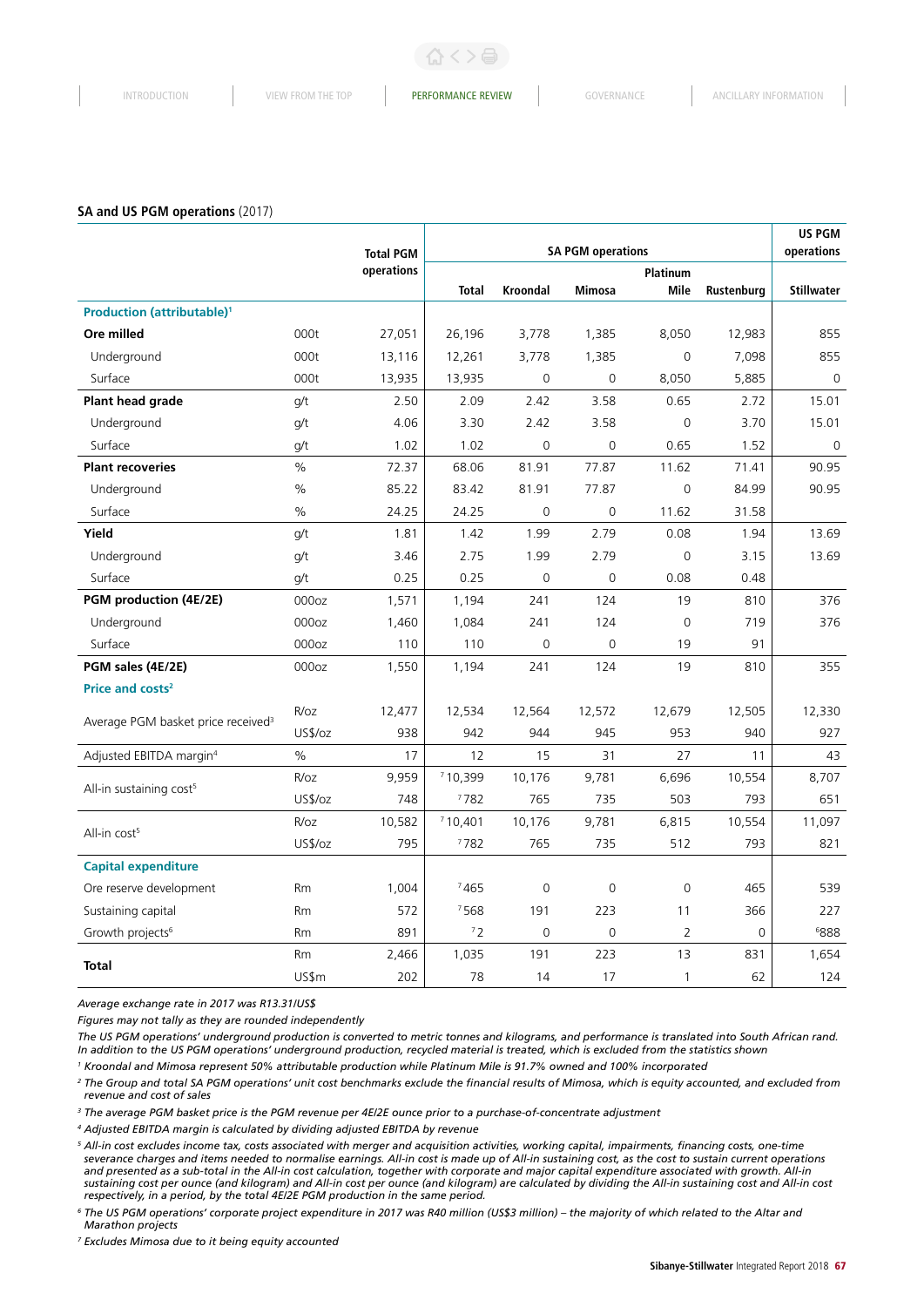#### **SA and US PGM operations** (2017)

|                                                |           | <b>SA PGM operations</b><br><b>Total PGM</b> |              |                 |                     |                     | US PGM<br>operations |                   |
|------------------------------------------------|-----------|----------------------------------------------|--------------|-----------------|---------------------|---------------------|----------------------|-------------------|
|                                                |           | operations                                   |              |                 |                     | <b>Platinum</b>     |                      |                   |
|                                                |           |                                              | <b>Total</b> | <b>Kroondal</b> | <b>Mimosa</b>       | Mile                | Rustenburg           | <b>Stillwater</b> |
| <b>Production (attributable)<sup>1</sup></b>   |           |                                              |              |                 |                     |                     |                      |                   |
| Ore milled                                     | 000t      | 27,051                                       | 26,196       | 3,778           | 1,385               | 8,050               | 12,983               | 855               |
| Underground                                    | 000t      | 13,116                                       | 12,261       | 3,778           | 1,385               | $\mathbf 0$         | 7,098                | 855               |
| Surface                                        | 000t      | 13,935                                       | 13,935       | $\Omega$        | $\Omega$            | 8,050               | 5,885                | $\mathbf 0$       |
| Plant head grade                               | g/t       | 2.50                                         | 2.09         | 2.42            | 3.58                | 0.65                | 2.72                 | 15.01             |
| Underground                                    | g/t       | 4.06                                         | 3.30         | 2.42            | 3.58                | $\mathsf{O}\xspace$ | 3.70                 | 15.01             |
| Surface                                        | g/t       | 1.02                                         | 1.02         | $\overline{0}$  | $\mathbf 0$         | 0.65                | 1.52                 | $\mathbf 0$       |
| <b>Plant recoveries</b>                        | $\%$      | 72.37                                        | 68.06        | 81.91           | 77.87               | 11.62               | 71.41                | 90.95             |
| Underground                                    | %         | 85.22                                        | 83.42        | 81.91           | 77.87               | $\mathsf{O}\xspace$ | 84.99                | 90.95             |
| Surface                                        | $\%$      | 24.25                                        | 24.25        | $\mathbf 0$     | $\mathsf{O}\xspace$ | 11.62               | 31.58                |                   |
| Yield                                          | g/t       | 1.81                                         | 1.42         | 1.99            | 2.79                | 0.08                | 1.94                 | 13.69             |
| Underground                                    | g/t       | 3.46                                         | 2.75         | 1.99            | 2.79                | 0                   | 3.15                 | 13.69             |
| Surface                                        | g/t       | 0.25                                         | 0.25         | $\overline{0}$  | $\overline{0}$      | 0.08                | 0.48                 |                   |
| PGM production (4E/2E)                         | 000oz     | 1,571                                        | 1,194        | 241             | 124                 | 19                  | 810                  | 376               |
| Underground                                    | 000oz     | 1,460                                        | 1,084        | 241             | 124                 | $\mathbf 0$         | 719                  | 376               |
| Surface                                        | 000oz     | 110                                          | 110          | $\mathbf 0$     | $\mathbf 0$         | 19                  | 91                   |                   |
| PGM sales (4E/2E)                              | 000oz     | 1,550                                        | 1,194        | 241             | 124                 | 19                  | 810                  | 355               |
| Price and costs <sup>2</sup>                   |           |                                              |              |                 |                     |                     |                      |                   |
| Average PGM basket price received <sup>3</sup> | R/oz      | 12,477                                       | 12,534       | 12,564          | 12,572              | 12,679              | 12,505               | 12,330            |
|                                                | US\$/oz   | 938                                          | 942          | 944             | 945                 | 953                 | 940                  | 927               |
| Adjusted EBITDA margin <sup>4</sup>            | $\%$      | 17                                           | 12           | 15              | 31                  | 27                  | 11                   | 43                |
| All-in sustaining cost <sup>5</sup>            | R/oz      | 9,959                                        | 710,399      | 10,176          | 9,781               | 6,696               | 10,554               | 8,707             |
|                                                | US\$/oz   | 748                                          | 7782         | 765             | 735                 | 503                 | 793                  | 651               |
|                                                | R/oz      | 10,582                                       | 710,401      | 10,176          | 9,781               | 6,815               | 10,554               | 11,097            |
| All-in cost <sup>5</sup>                       | US\$/oz   | 795                                          | 7782         | 765             | 735                 | 512                 | 793                  | 821               |
| <b>Capital expenditure</b>                     |           |                                              |              |                 |                     |                     |                      |                   |
| Ore reserve development                        | <b>Rm</b> | 1,004                                        | 7465         | $\overline{0}$  | $\mathbf 0$         | $\mathbf 0$         | 465                  | 539               |
| Sustaining capital                             | Rm        | 572                                          | 7568         | 191             | 223                 | 11                  | 366                  | 227               |
| Growth projects <sup>6</sup>                   | <b>Rm</b> | 891                                          | 72           | $\overline{0}$  | $\mathbf 0$         | 2                   | $\mathbf 0$          | 6888              |
| <b>Total</b>                                   | Rm        | 2,466                                        | 1,035        | 191             | 223                 | 13                  | 831                  | 1,654             |
|                                                | US\$m     | 202                                          | 78           | 14              | 17                  | $\mathbf{1}$        | 62                   | 124               |

*Average exchange rate in 2017 was R13.31/US\$*

*Figures may not tally as they are rounded independently*

*The US PGM operations' underground production is converted to metric tonnes and kilograms, and performance is translated into South African rand. In addition to the US PGM operations' underground production, recycled material is treated, which is excluded from the statistics shown*

*1 Kroondal and Mimosa represent 50% attributable production while Platinum Mile is 91.7% owned and 100% incorporated*

*<sup>2</sup> The Group and total SA PGM operations' unit cost benchmarks exclude the financial results of Mimosa, which is equity accounted, and excluded from revenue and cost of sales*

*3 The average PGM basket price is the PGM revenue per 4E/2E ounce prior to a purchase-of-concentrate adjustment* 

*4 Adjusted EBITDA margin is calculated by dividing adjusted EBITDA by revenue*

*<sup>5</sup> All-in cost excludes income tax, costs associated with merger and acquisition activities, working capital, impairments, financing costs, one-time severance charges and items needed to normalise earnings. All-in cost is made up of All-in sustaining cost, as the cost to sustain current operations and presented as a sub-total in the All-in cost calculation, together with corporate and major capital expenditure associated with growth. All-in sustaining cost per ounce (and kilogram) and All-in cost per ounce (and kilogram) are calculated by dividing the All-in sustaining cost and All-in cost respectively, in a period, by the total 4E/2E PGM production in the same period.*

*<sup>6</sup> The US PGM operations' corporate project expenditure in 2017 was R40 million (US\$3 million) – the majority of which related to the Altar and Marathon projects*

*<sup>7</sup> Excludes Mimosa due to it being equity accounted*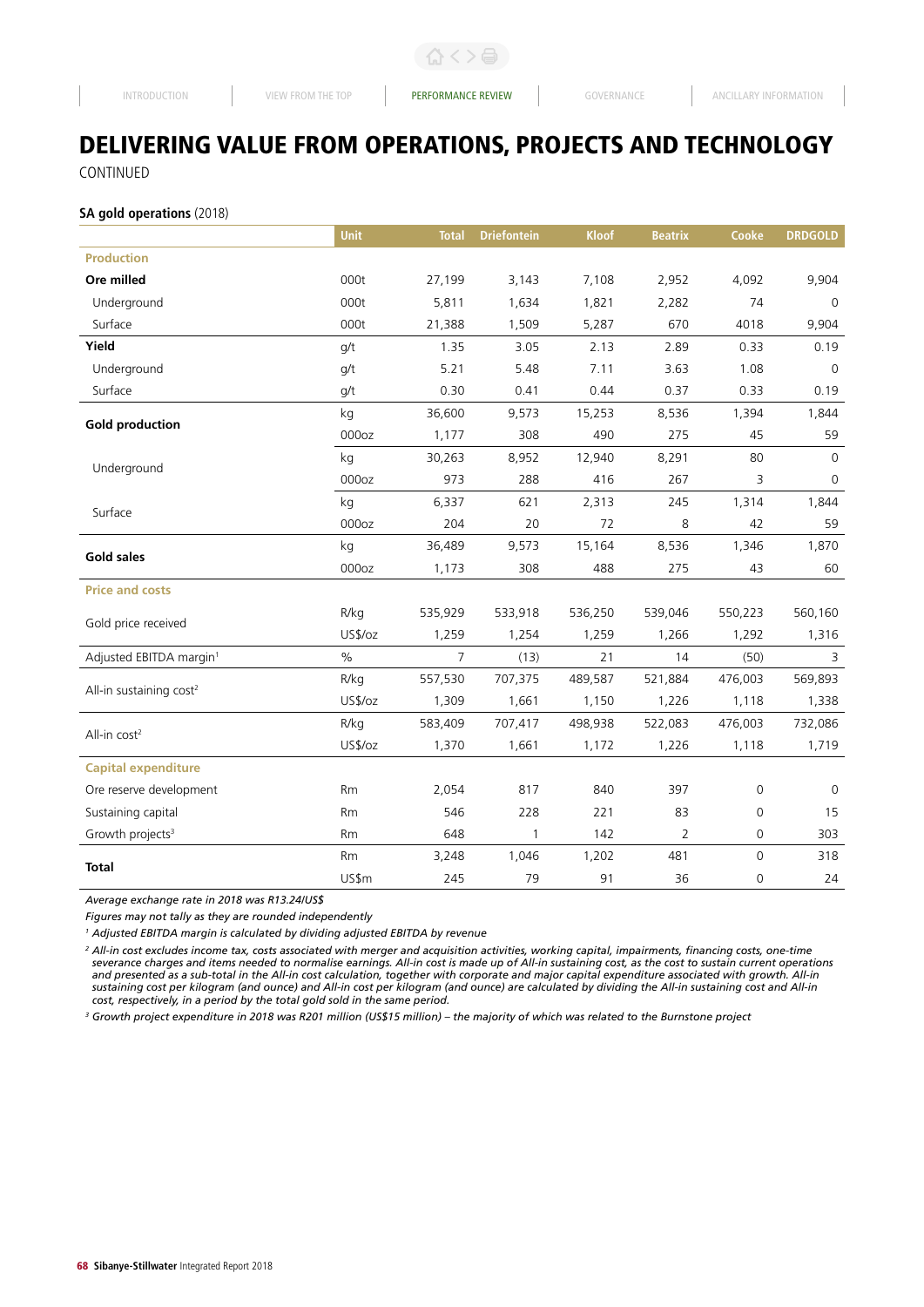# DELIVERING VALUE FROM OPERATIONS, PROJECTS AND TECHNOLOGY CONTINUED

**SA gold operations** (2018)

|                                     | <b>Unit</b>       | <b>Total</b>   | <b>Driefontein</b> | <b>Kloof</b> | <b>Beatrix</b> | Cooke       | <b>DRDGOLD</b> |
|-------------------------------------|-------------------|----------------|--------------------|--------------|----------------|-------------|----------------|
| <b>Production</b>                   |                   |                |                    |              |                |             |                |
| Ore milled                          | 000t              | 27,199         | 3,143              | 7,108        | 2,952          | 4,092       | 9,904          |
| Underground                         | 000t              | 5,811          | 1,634              | 1,821        | 2,282          | 74          | $\mathbf 0$    |
| Surface                             | 000t              | 21,388         | 1,509              | 5,287        | 670            | 4018        | 9,904          |
| Yield                               | g/t               | 1.35           | 3.05               | 2.13         | 2.89           | 0.33        | 0.19           |
| Underground                         | q/t               | 5.21           | 5.48               | 7.11         | 3.63           | 1.08        | $\mathbf 0$    |
| Surface                             | q/t               | 0.30           | 0.41               | 0.44         | 0.37           | 0.33        | 0.19           |
|                                     | kg                | 36,600         | 9,573              | 15,253       | 8,536          | 1,394       | 1,844          |
| <b>Gold production</b>              | 000 <sub>oz</sub> | 1,177          | 308                | 490          | 275            | 45          | 59             |
| Underground                         | kg                | 30,263         | 8,952              | 12,940       | 8,291          | 80          | $\mathbf 0$    |
|                                     | 000oz             | 973            | 288                | 416          | 267            | 3           | $\mathbf 0$    |
| Surface                             | kg                | 6,337          | 621                | 2,313        | 245            | 1,314       | 1,844          |
|                                     | 000oz             | 204            | 20                 | 72           | 8              | 42          | 59             |
| <b>Gold sales</b>                   | kg                | 36,489         | 9,573              | 15,164       | 8,536          | 1,346       | 1,870          |
|                                     | 000oz             | 1,173          | 308                | 488          | 275            | 43          | 60             |
| <b>Price and costs</b>              |                   |                |                    |              |                |             |                |
| Gold price received                 | R/kg              | 535,929        | 533,918            | 536,250      | 539,046        | 550,223     | 560,160        |
|                                     | US\$/oz           | 1,259          | 1,254              | 1,259        | 1,266          | 1,292       | 1,316          |
| Adjusted EBITDA margin <sup>1</sup> | $\%$              | $\overline{7}$ | (13)               | 21           | 14             | (50)        | 3              |
| All-in sustaining cost <sup>2</sup> | R/kg              | 557,530        | 707,375            | 489,587      | 521,884        | 476,003     | 569,893        |
|                                     | US\$/oz           | 1,309          | 1,661              | 1,150        | 1,226          | 1,118       | 1,338          |
| All-in cost <sup>2</sup>            | R/kg              | 583,409        | 707,417            | 498,938      | 522,083        | 476,003     | 732,086        |
|                                     | US\$/oz           | 1,370          | 1,661              | 1,172        | 1,226          | 1,118       | 1,719          |
| <b>Capital expenditure</b>          |                   |                |                    |              |                |             |                |
| Ore reserve development             | Rm                | 2,054          | 817                | 840          | 397            | 0           | $\mathbf 0$    |
| Sustaining capital                  | Rm                | 546            | 228                | 221          | 83             | 0           | 15             |
| Growth projects <sup>3</sup>        | <b>Rm</b>         | 648            | $\mathbf{1}$       | 142          | $\overline{2}$ | 0           | 303            |
| <b>Total</b>                        | Rm                | 3,248          | 1,046              | 1,202        | 481            | $\mathbf 0$ | 318            |
|                                     | US\$m             | 245            | 79                 | 91           | 36             | 0           | 24             |

*Average exchange rate in 2018 was R13.24/US\$*

*Figures may not tally as they are rounded independently*

*1 Adjusted EBITDA margin is calculated by dividing adjusted EBITDA by revenue*

*<sup>2</sup> All-in cost excludes income tax, costs associated with merger and acquisition activities, working capital, impairments, financing costs, one-time severance charges and items needed to normalise earnings. All-in cost is made up of All-in sustaining cost, as the cost to sustain current operations and presented as a sub-total in the All-in cost calculation, together with corporate and major capital expenditure associated with growth. All-in sustaining cost per kilogram (and ounce) and All-in cost per kilogram (and ounce) are calculated by dividing the All-in sustaining cost and All-in cost, respectively, in a period by the total gold sold in the same period.*

<sup>3</sup> Growth project expenditure in 2018 was R201 million (US\$15 million) – the majority of which was related to the Burnstone project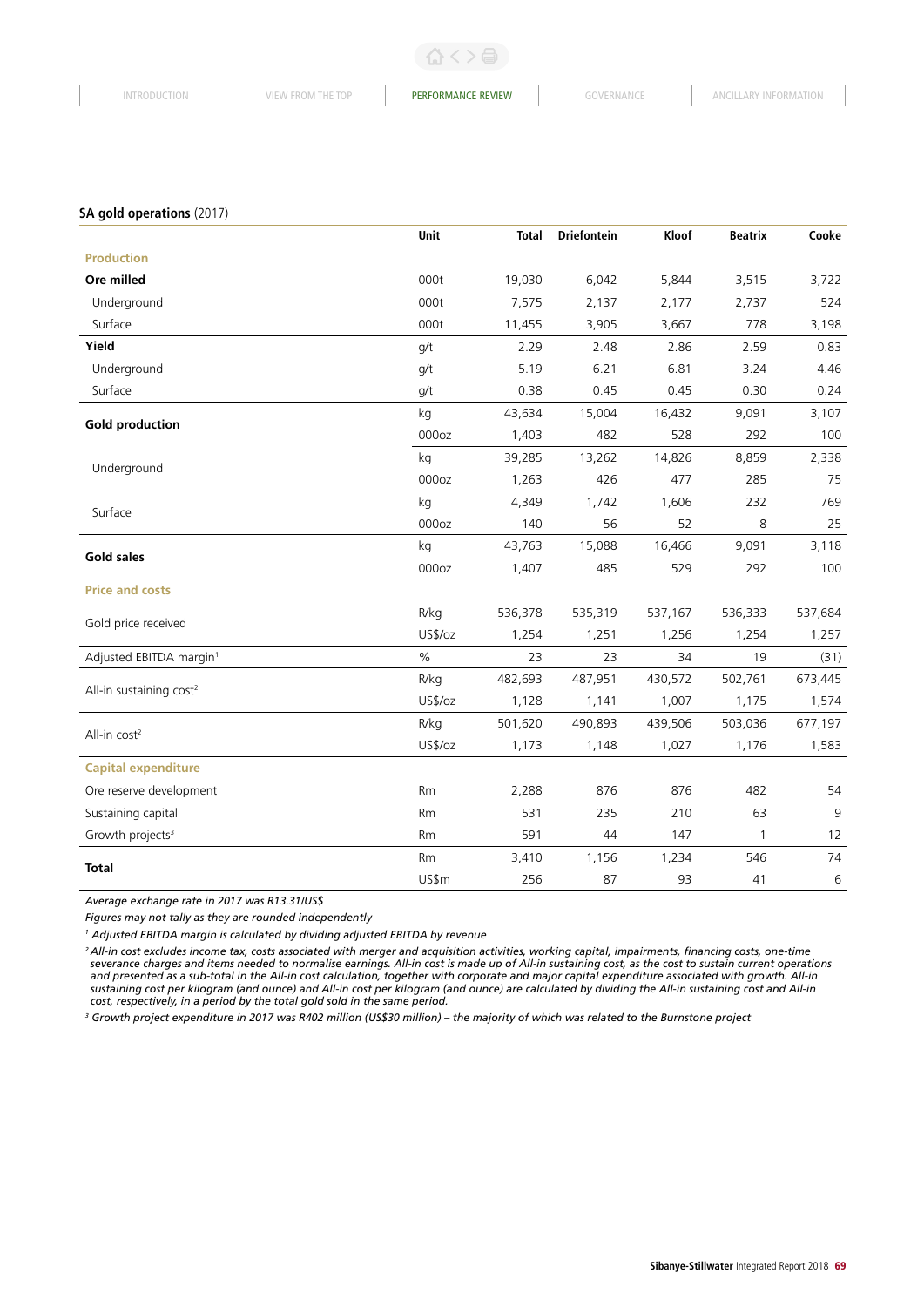#### **SA gold operations** (2017)

|                                     | Unit              | <b>Total</b> | <b>Driefontein</b> | Kloof   | <b>Beatrix</b> | Cooke   |
|-------------------------------------|-------------------|--------------|--------------------|---------|----------------|---------|
| <b>Production</b>                   |                   |              |                    |         |                |         |
| Ore milled                          | 000t              | 19,030       | 6,042              | 5,844   | 3,515          | 3,722   |
| Underground                         | 000t              | 7,575        | 2,137              | 2,177   | 2,737          | 524     |
| Surface                             | 000t              | 11,455       | 3,905              | 3,667   | 778            | 3,198   |
| Yield                               | q/t               | 2.29         | 2.48               | 2.86    | 2.59           | 0.83    |
| Underground                         | q/t               | 5.19         | 6.21               | 6.81    | 3.24           | 4.46    |
| Surface                             | q/t               | 0.38         | 0.45               | 0.45    | 0.30           | 0.24    |
|                                     | kg                | 43,634       | 15,004             | 16,432  | 9,091          | 3,107   |
| <b>Gold production</b>              | 000oz             | 1,403        | 482                | 528     | 292            | 100     |
|                                     | kg                | 39,285       | 13,262             | 14,826  | 8,859          | 2,338   |
| Underground                         | 000oz             | 1,263        | 426                | 477     | 285            | 75      |
| Surface                             | kg                | 4,349        | 1,742              | 1,606   | 232            | 769     |
|                                     | 000 <sub>oz</sub> | 140          | 56                 | 52      | 8              | 25      |
| <b>Gold sales</b>                   | kg                | 43,763       | 15,088             | 16,466  | 9,091          | 3,118   |
|                                     | 000oz             | 1,407        | 485                | 529     | 292            | 100     |
| <b>Price and costs</b>              |                   |              |                    |         |                |         |
| Gold price received                 | R/kg              | 536,378      | 535,319            | 537,167 | 536,333        | 537,684 |
|                                     | US\$/oz           | 1,254        | 1,251              | 1,256   | 1,254          | 1,257   |
| Adjusted EBITDA margin <sup>1</sup> | $\%$              | 23           | 23                 | 34      | 19             | (31)    |
| All-in sustaining cost <sup>2</sup> | R/kg              | 482,693      | 487,951            | 430,572 | 502,761        | 673,445 |
|                                     | US\$/oz           | 1,128        | 1,141              | 1,007   | 1,175          | 1,574   |
| All-in cost <sup>2</sup>            | R/kg              | 501,620      | 490,893            | 439,506 | 503,036        | 677,197 |
|                                     | US\$/oz           | 1,173        | 1,148              | 1,027   | 1,176          | 1,583   |
| <b>Capital expenditure</b>          |                   |              |                    |         |                |         |
| Ore reserve development             | Rm                | 2,288        | 876                | 876     | 482            | 54      |
| Sustaining capital                  | Rm                | 531          | 235                | 210     | 63             | 9       |
| Growth projects <sup>3</sup>        | Rm                | 591          | 44                 | 147     | 1              | 12      |
| <b>Total</b>                        | Rm                | 3,410        | 1,156              | 1,234   | 546            | 74      |
|                                     | US\$m             | 256          | 87                 | 93      | 41             | 6       |

*Average exchange rate in 2017 was R13.31/US\$*

*Figures may not tally as they are rounded independently*

*1 Adjusted EBITDA margin is calculated by dividing adjusted EBITDA by revenue*

*2 All-in cost excludes income tax, costs associated with merger and acquisition activities, working capital, impairments, financing costs, one-time severance charges and items needed to normalise earnings. All-in cost is made up of All-in sustaining cost, as the cost to sustain current operations and presented as a sub-total in the All-in cost calculation, together with corporate and major capital expenditure associated with growth. All-in sustaining cost per kilogram (and ounce) and All-in cost per kilogram (and ounce) are calculated by dividing the All-in sustaining cost and All-in cost, respectively, in a period by the total gold sold in the same period.*

<sup>3</sup> Growth project expenditure in 2017 was R402 million (US\$30 million) – the majority of which was related to the Burnstone project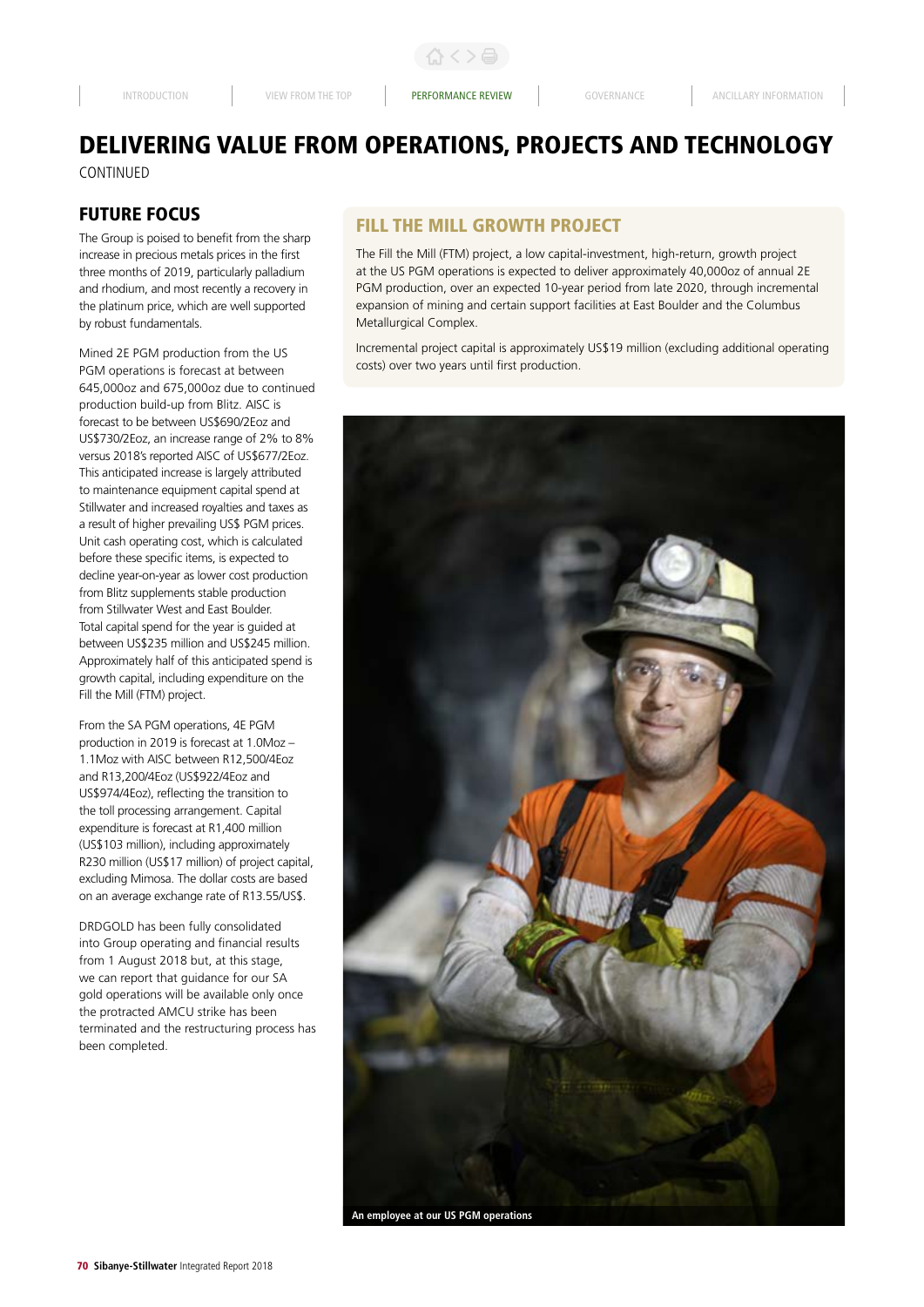# DELIVERING VALUE FROM OPERATIONS, PROJECTS AND TECHNOLOGY CONTINUED

# FUTURE FOCUS

The Group is poised to benefit from the sharp increase in precious metals prices in the first three months of 2019, particularly palladium and rhodium, and most recently a recovery in the platinum price, which are well supported by robust fundamentals.

Mined 2E PGM production from the US PGM operations is forecast at between 645,000oz and 675,000oz due to continued production build-up from Blitz. AISC is forecast to be between US\$690/2Eoz and US\$730/2Eoz, an increase range of 2% to 8% versus 2018's reported AISC of US\$677/2Eoz. This anticipated increase is largely attributed to maintenance equipment capital spend at Stillwater and increased royalties and taxes as a result of higher prevailing US\$ PGM prices. Unit cash operating cost, which is calculated before these specific items, is expected to decline year-on-year as lower cost production from Blitz supplements stable production from Stillwater West and East Boulder. Total capital spend for the year is guided at between US\$235 million and US\$245 million. Approximately half of this anticipated spend is growth capital, including expenditure on the Fill the Mill (FTM) project.

From the SA PGM operations, 4E PGM production in 2019 is forecast at 1.0Moz – 1.1Moz with AISC between R12,500/4Foz and R13,200/4Eoz (US\$922/4Eoz and US\$974/4Eoz), reflecting the transition to the toll processing arrangement. Capital expenditure is forecast at R1,400 million (US\$103 million), including approximately R230 million (US\$17 million) of project capital, excluding Mimosa. The dollar costs are based on an average exchange rate of R13.55/US\$.

DRDGOLD has been fully consolidated into Group operating and financial results from 1 August 2018 but, at this stage, we can report that guidance for our SA gold operations will be available only once the protracted AMCU strike has been terminated and the restructuring process has been completed.

# FILL THE MILL GROWTH PROJECT

The Fill the Mill (FTM) project, a low capital-investment, high-return, growth project at the US PGM operations is expected to deliver approximately 40,000oz of annual 2E PGM production, over an expected 10-year period from late 2020, through incremental expansion of mining and certain support facilities at East Boulder and the Columbus Metallurgical Complex.

Incremental project capital is approximately US\$19 million (excluding additional operating costs) over two years until first production.

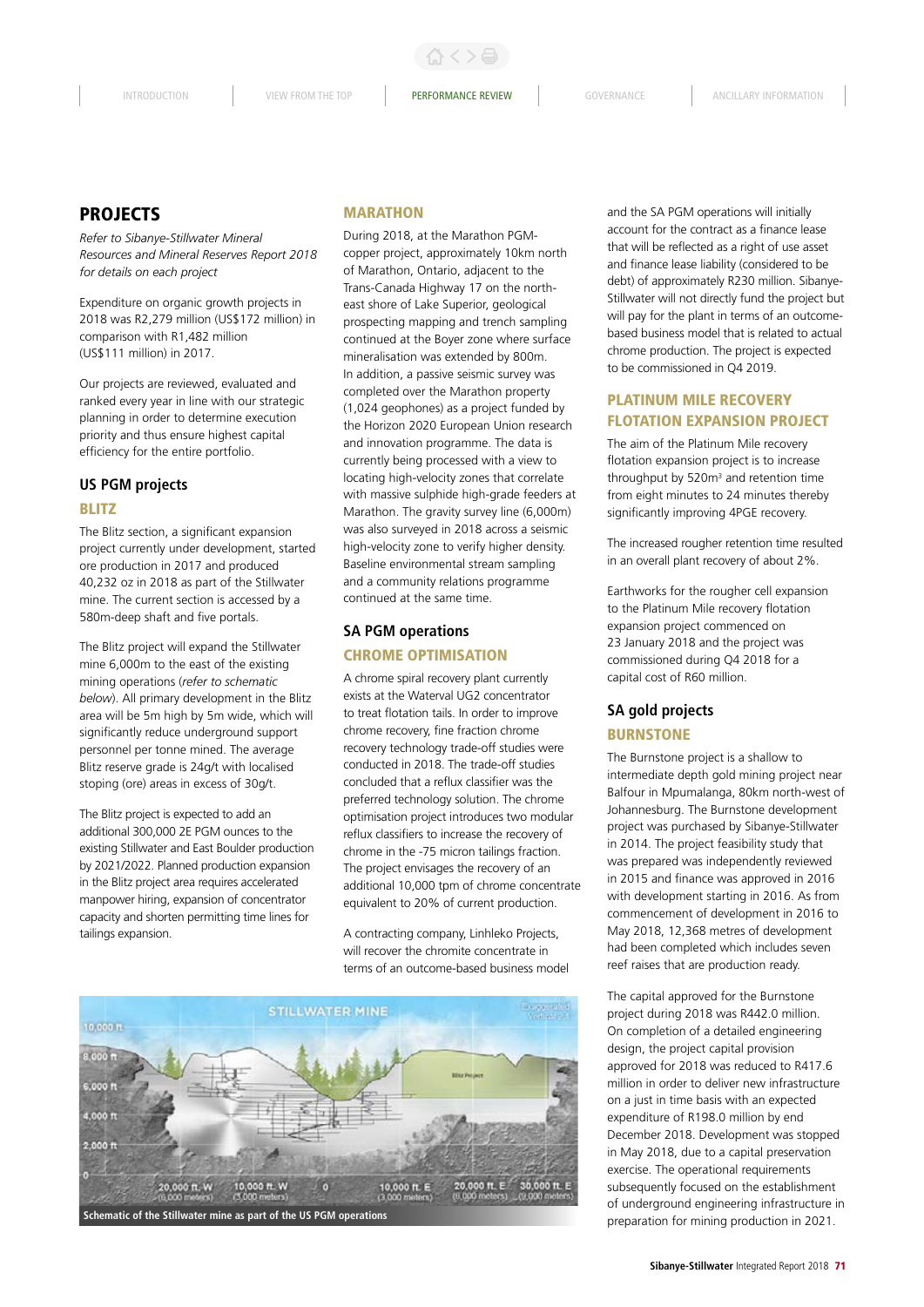# PROJECTS

*Refer to Sibanye-Stillwater Mineral Resources and Mineral Reserves Report 2018 for details on each project*

Expenditure on organic growth projects in 2018 was R2,279 million (US\$172 million) in comparison with R1,482 million (US\$111 million) in 2017.

Our projects are reviewed, evaluated and ranked every year in line with our strategic planning in order to determine execution priority and thus ensure highest capital efficiency for the entire portfolio.

# **US PGM projects**

#### BLITZ

The Blitz section, a significant expansion project currently under development, started ore production in 2017 and produced 40,232 oz in 2018 as part of the Stillwater mine. The current section is accessed by a 580m-deep shaft and five portals.

The Blitz project will expand the Stillwater mine 6,000m to the east of the existing mining operations (*refer to schematic below*). All primary development in the Blitz area will be 5m high by 5m wide, which will significantly reduce underground support personnel per tonne mined. The average Blitz reserve grade is 24g/t with localised stoping (ore) areas in excess of 30g/t.

The Blitz project is expected to add an additional 300,000 2E PGM ounces to the existing Stillwater and East Boulder production by 2021/2022. Planned production expansion in the Blitz project area requires accelerated manpower hiring, expansion of concentrator capacity and shorten permitting time lines for tailings expansion.

#### MARATHON

During 2018, at the Marathon PGMcopper project, approximately 10km north of Marathon, Ontario, adjacent to the Trans-Canada Highway 17 on the northeast shore of Lake Superior, geological prospecting mapping and trench sampling continued at the Boyer zone where surface mineralisation was extended by 800m. In addition, a passive seismic survey was completed over the Marathon property (1,024 geophones) as a project funded by the Horizon 2020 European Union research and innovation programme. The data is currently being processed with a view to locating high-velocity zones that correlate with massive sulphide high-grade feeders at Marathon. The gravity survey line (6,000m) was also surveyed in 2018 across a seismic high-velocity zone to verify higher density. Baseline environmental stream sampling and a community relations programme continued at the same time.

# **SA PGM operations** CHROME OPTIMISATION

A chrome spiral recovery plant currently exists at the Waterval UG2 concentrator to treat flotation tails. In order to improve chrome recovery, fine fraction chrome recovery technology trade-off studies were conducted in 2018. The trade-off studies concluded that a reflux classifier was the preferred technology solution. The chrome optimisation project introduces two modular reflux classifiers to increase the recovery of chrome in the -75 micron tailings fraction. The project envisages the recovery of an additional 10,000 tpm of chrome concentrate equivalent to 20% of current production.

A contracting company, Linhleko Projects, will recover the chromite concentrate in terms of an outcome-based business model



and the SA PGM operations will initially account for the contract as a finance lease that will be reflected as a right of use asset and finance lease liability (considered to be debt) of approximately R230 million. Sibanye-Stillwater will not directly fund the project but will pay for the plant in terms of an outcomebased business model that is related to actual chrome production. The project is expected to be commissioned in Q4 2019.

# PLATINUM MILE RECOVERY FLOTATION EXPANSION PROJECT

The aim of the Platinum Mile recovery flotation expansion project is to increase throughput by  $520m<sup>3</sup>$  and retention time from eight minutes to 24 minutes thereby significantly improving 4PGE recovery.

The increased rougher retention time resulted in an overall plant recovery of about 2%.

Earthworks for the rougher cell expansion to the Platinum Mile recovery flotation expansion project commenced on 23 January 2018 and the project was commissioned during Q4 2018 for a capital cost of R60 million.

# **SA gold projects BURNSTONE**

The Burnstone project is a shallow to intermediate depth gold mining project near Balfour in Mpumalanga, 80km north-west of Johannesburg. The Burnstone development project was purchased by Sibanye-Stillwater in 2014. The project feasibility study that was prepared was independently reviewed in 2015 and finance was approved in 2016 with development starting in 2016. As from commencement of development in 2016 to May 2018, 12,368 metres of development had been completed which includes seven reef raises that are production ready.

The capital approved for the Burnstone project during 2018 was R442.0 million. On completion of a detailed engineering design, the project capital provision approved for 2018 was reduced to R417.6 million in order to deliver new infrastructure on a just in time basis with an expected expenditure of R198.0 million by end December 2018. Development was stopped in May 2018, due to a capital preservation exercise. The operational requirements subsequently focused on the establishment of underground engineering infrastructure in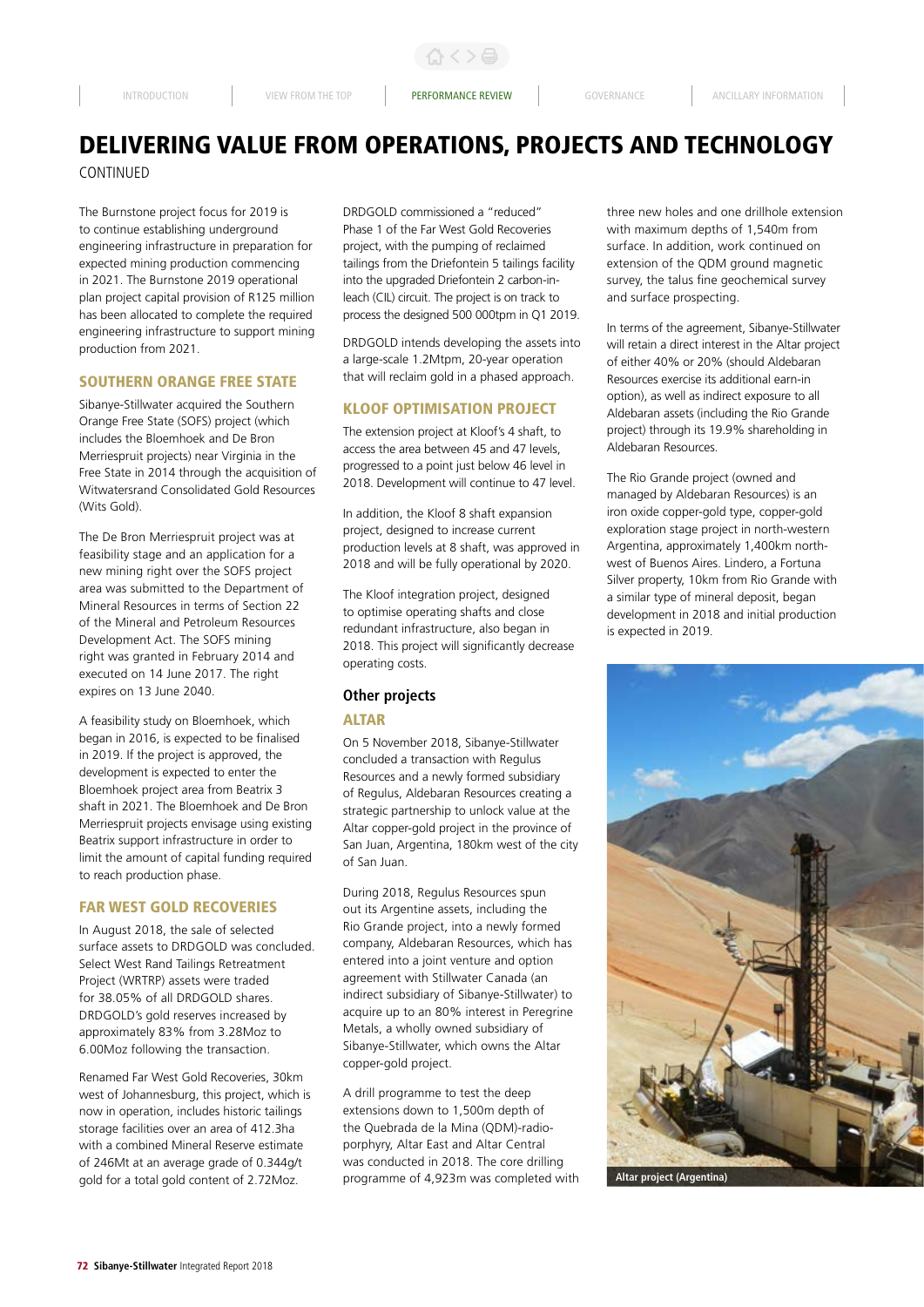合く>合

# DELIVERING VALUE FROM OPERATIONS, PROJECTS AND TECHNOLOGY CONTINUED

The Burnstone project focus for 2019 is to continue establishing underground engineering infrastructure in preparation for expected mining production commencing in 2021. The Burnstone 2019 operational plan project capital provision of R125 million has been allocated to complete the required engineering infrastructure to support mining production from 2021.

# SOUTHERN ORANGE FREE STATE

Sibanye-Stillwater acquired the Southern Orange Free State (SOFS) project (which includes the Bloemhoek and De Bron Merriespruit projects) near Virginia in the Free State in 2014 through the acquisition of Witwatersrand Consolidated Gold Resources (Wits Gold).

The De Bron Merriespruit project was at feasibility stage and an application for a new mining right over the SOFS project area was submitted to the Department of Mineral Resources in terms of Section 22 of the Mineral and Petroleum Resources Development Act. The SOFS mining right was granted in February 2014 and executed on 14 June 2017. The right expires on 13 June 2040.

A feasibility study on Bloemhoek, which began in 2016, is expected to be finalised in 2019. If the project is approved, the development is expected to enter the Bloemhoek project area from Beatrix 3 shaft in 2021. The Bloemhoek and De Bron Merriespruit projects envisage using existing Beatrix support infrastructure in order to limit the amount of capital funding required to reach production phase.

#### FAR WEST GOLD RECOVERIES

In August 2018, the sale of selected surface assets to DRDGOLD was concluded. Select West Rand Tailings Retreatment Project (WRTRP) assets were traded for 38.05% of all DRDGOLD shares. DRDGOLD's gold reserves increased by approximately 83% from 3.28Moz to 6.00Moz following the transaction.

Renamed Far West Gold Recoveries, 30km west of Johannesburg, this project, which is now in operation, includes historic tailings storage facilities over an area of 412.3ha with a combined Mineral Reserve estimate of 246Mt at an average grade of 0.344g/t gold for a total gold content of 2.72Moz.

DRDGOLD commissioned a "reduced" Phase 1 of the Far West Gold Recoveries project, with the pumping of reclaimed tailings from the Driefontein 5 tailings facility into the upgraded Driefontein 2 carbon-inleach (CIL) circuit. The project is on track to process the designed 500 000tpm in Q1 2019.

DRDGOLD intends developing the assets into a large-scale 1.2Mtpm, 20-year operation that will reclaim gold in a phased approach.

#### KLOOF OPTIMISATION PROJECT

The extension project at Kloof's 4 shaft, to access the area between 45 and 47 levels, progressed to a point just below 46 level in 2018. Development will continue to 47 level.

In addition, the Kloof 8 shaft expansion project, designed to increase current production levels at 8 shaft, was approved in 2018 and will be fully operational by 2020.

The Kloof integration project, designed to optimise operating shafts and close redundant infrastructure, also began in 2018. This project will significantly decrease operating costs.

# **Other projects**

#### **ALTAR**

On 5 November 2018, Sibanye-Stillwater concluded a transaction with Regulus Resources and a newly formed subsidiary of Regulus, Aldebaran Resources creating a strategic partnership to unlock value at the Altar copper-gold project in the province of San Juan, Argentina, 180km west of the city of San Juan.

During 2018, Regulus Resources spun out its Argentine assets, including the Rio Grande project, into a newly formed company, Aldebaran Resources, which has entered into a joint venture and option agreement with Stillwater Canada (an indirect subsidiary of Sibanye-Stillwater) to acquire up to an 80% interest in Peregrine Metals, a wholly owned subsidiary of Sibanye-Stillwater, which owns the Altar copper-gold project.

A drill programme to test the deep extensions down to 1,500m depth of the Quebrada de la Mina (QDM)-radioporphyry, Altar East and Altar Central was conducted in 2018. The core drilling programme of 4,923m was completed with three new holes and one drillhole extension with maximum depths of 1,540m from surface. In addition, work continued on extension of the QDM ground magnetic survey, the talus fine geochemical survey and surface prospecting.

In terms of the agreement, Sibanye-Stillwater will retain a direct interest in the Altar project of either 40% or 20% (should Aldebaran Resources exercise its additional earn-in option), as well as indirect exposure to all Aldebaran assets (including the Rio Grande project) through its 19.9% shareholding in Aldebaran Resources.

The Rio Grande project (owned and managed by Aldebaran Resources) is an iron oxide copper-gold type, copper-gold exploration stage project in north-western Argentina, approximately 1,400km northwest of Buenos Aires. Lindero, a Fortuna Silver property, 10km from Rio Grande with a similar type of mineral deposit, began development in 2018 and initial production is expected in 2019.



**Altar project (Argentina)**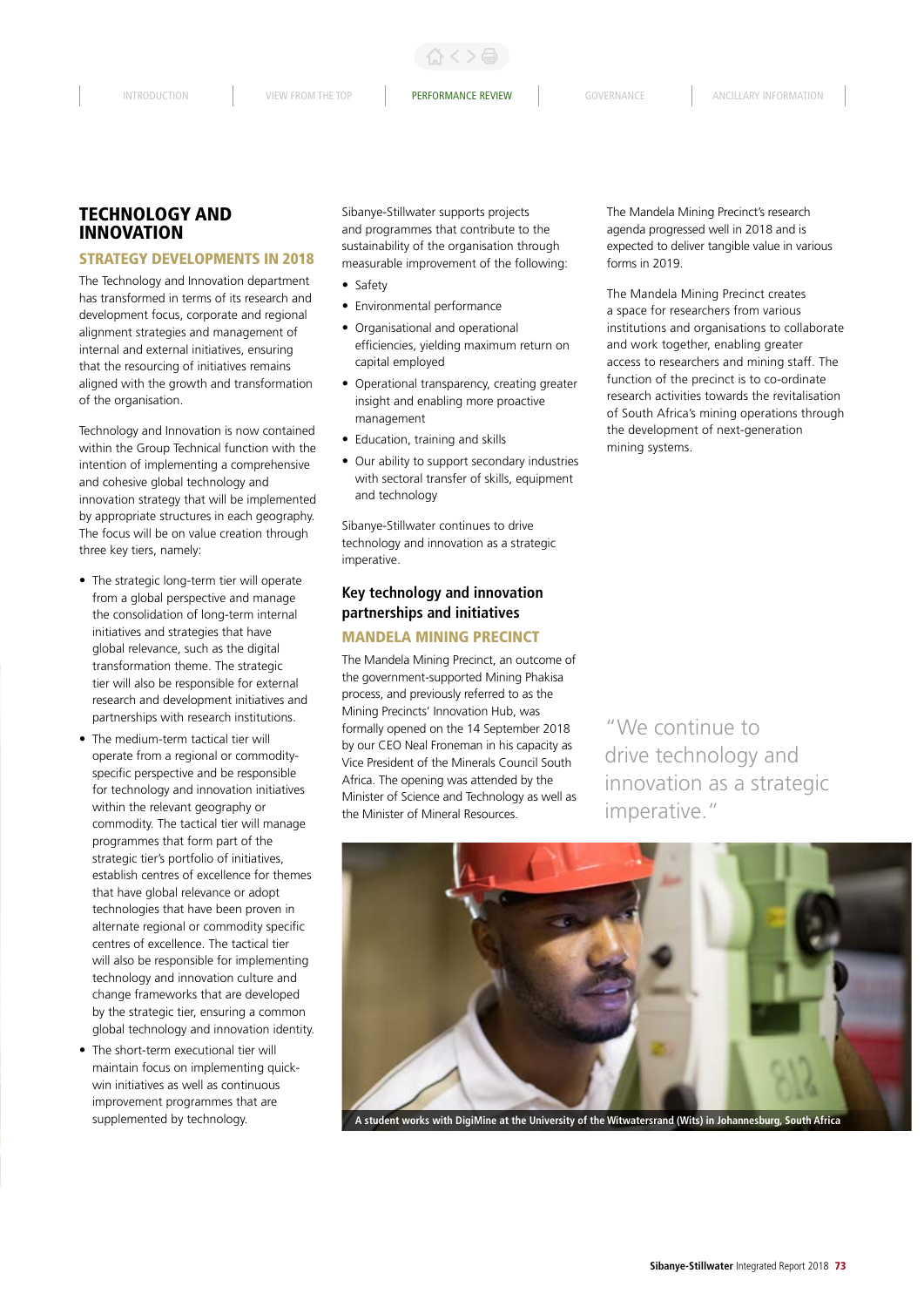$\langle >$ a

# TECHNOLOGY AND INNOVATION

#### STRATEGY DEVELOPMENTS IN 2018

The Technology and Innovation department has transformed in terms of its research and development focus, corporate and regional alignment strategies and management of internal and external initiatives, ensuring that the resourcing of initiatives remains aligned with the growth and transformation of the organisation.

Technology and Innovation is now contained within the Group Technical function with the intention of implementing a comprehensive and cohesive global technology and innovation strategy that will be implemented by appropriate structures in each geography. The focus will be on value creation through three key tiers, namely:

- The strategic long-term tier will operate from a global perspective and manage the consolidation of long-term internal initiatives and strategies that have global relevance, such as the digital transformation theme. The strategic tier will also be responsible for external research and development initiatives and partnerships with research institutions.
- The medium-term tactical tier will operate from a regional or commodityspecific perspective and be responsible for technology and innovation initiatives within the relevant geography or commodity. The tactical tier will manage programmes that form part of the strategic tier's portfolio of initiatives, establish centres of excellence for themes that have global relevance or adopt technologies that have been proven in alternate regional or commodity specific centres of excellence. The tactical tier will also be responsible for implementing technology and innovation culture and change frameworks that are developed by the strategic tier, ensuring a common global technology and innovation identity.
- The short-term executional tier will maintain focus on implementing quickwin initiatives as well as continuous improvement programmes that are supplemented by technology.

Sibanye-Stillwater supports projects and programmes that contribute to the sustainability of the organisation through measurable improvement of the following:

- Safety
- Environmental performance
- Organisational and operational efficiencies, yielding maximum return on capital employed
- Operational transparency, creating greater insight and enabling more proactive management
- Education, training and skills
- Our ability to support secondary industries with sectoral transfer of skills, equipment and technology

Sibanye-Stillwater continues to drive technology and innovation as a strategic imperative.

# **Key technology and innovation partnerships and initiatives**

# MANDELA MINING PRECINCT

The Mandela Mining Precinct, an outcome of the government-supported Mining Phakisa process, and previously referred to as the Mining Precincts' Innovation Hub, was formally opened on the 14 September 2018 by our CEO Neal Froneman in his capacity as Vice President of the Minerals Council South Africa. The opening was attended by the Minister of Science and Technology as well as the Minister of Mineral Resources.

The Mandela Mining Precinct's research agenda progressed well in 2018 and is expected to deliver tangible value in various forms in 2019.

The Mandela Mining Precinct creates a space for researchers from various institutions and organisations to collaborate and work together, enabling greater access to researchers and mining staff. The function of the precinct is to co-ordinate research activities towards the revitalisation of South Africa's mining operations through the development of next-generation mining systems.

"We continue to drive technology and innovation as a strategic imperative."